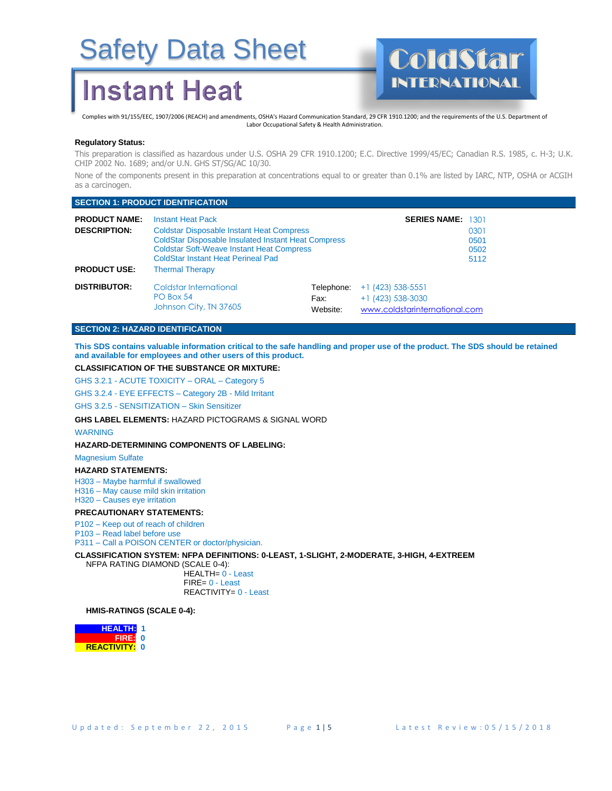## **Instant Heat**



Complies with 91/155/EEC, 1907/2006 (REACH) and amendments, OSHA's Hazard Communication Standard, 29 CFR 1910.1200; and the requirements of the U.S. Department of Labor Occupational Safety & Health Administration.

#### **Regulatory Status:**

This preparation is classified as hazardous under U.S. OSHA 29 CFR 1910.1200; E.C. Directive 1999/45/EC; Canadian R.S. 1985, c. H-3; U.K. CHIP 2002 No. 1689; and/or U.N. GHS ST/SG/AC 10/30.

None of the components present in this preparation at concentrations equal to or greater than 0.1% are listed by IARC, NTP, OSHA or ACGIH as a carcinogen.

#### **SECTION 1: PRODUCT IDENTIFICATION**

| <b>PRODUCT NAME:</b><br><b>DESCRIPTION:</b><br><b>PRODUCT USE:</b> | <b>Instant Heat Pack</b><br><b>Coldstar Disposable Instant Heat Compress</b><br><b>ColdStar Disposable Insulated Instant Heat Compress</b><br><b>Coldstar Soft-Weave Instant Heat Compress</b><br>ColdStar Instant Heat Perineal Pad<br><b>Thermal Therapy</b> |                                | <b>SERIES NAME: 1301</b>                                                    | 0301<br>0501<br>0502<br>5112 |
|--------------------------------------------------------------------|----------------------------------------------------------------------------------------------------------------------------------------------------------------------------------------------------------------------------------------------------------------|--------------------------------|-----------------------------------------------------------------------------|------------------------------|
| <b>DISTRIBUTOR:</b>                                                | Coldstar International<br>PO Box 54<br>Johnson City, TN 37605                                                                                                                                                                                                  | Telephone:<br>Fax:<br>Website: | $+1$ (423) 538-5551<br>$+1$ (423) 538-3030<br>www.coldstarinternational.com |                              |

#### **SECTION 2: HAZARD IDENTIFICATION**

**This SDS contains valuable information critical to the safe handling and proper use of the product. The SDS should be retained and available for employees and other users of this product.**

#### **CLASSIFICATION OF THE SUBSTANCE OR MIXTURE:**

GHS 3.2.1 - ACUTE TOXICITY – ORAL – Category 5

GHS 3.2.4 - EYE EFFECTS – Category 2B - Mild Irritant

GHS 3.2.5 - SENSITIZATION – Skin Sensitizer

**GHS LABEL ELEMENTS:** HAZARD PICTOGRAMS & SIGNAL WORD

#### WARNING

#### **HAZARD-DETERMINING COMPONENTS OF LABELING:**

Magnesium Sulfate

#### **HAZARD STATEMENTS:**

H303 – Maybe harmful if swallowed H316 – May cause mild skin irritation H320 – Causes eye irritation

#### **PRECAUTIONARY STATEMENTS:**

P102 – Keep out of reach of children P103 – Read label before use

P311 – Call a POISON CENTER or doctor/physician.

**CLASSIFICATION SYSTEM: NFPA DEFINITIONS: 0-LEAST, 1-SLIGHT, 2-MODERATE, 3-HIGH, 4-EXTREEM**

NFPA RATING DIAMOND (SCALE 0-4):

 HEALTH= 0 - Least FIRE= 0 - Least REACTIVITY= 0 - Least

#### **HMIS-RATINGS (SCALE 0-4):**

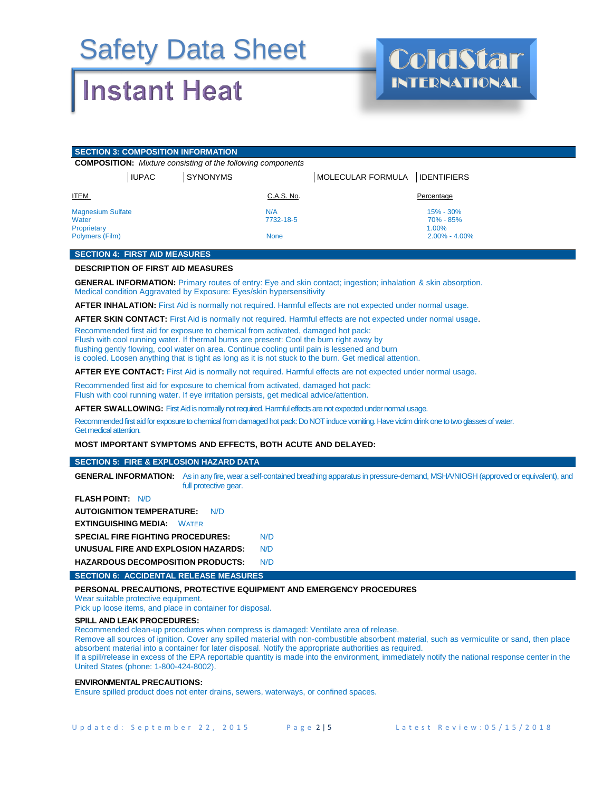## **Instant Heat**



| <b>SECTION 3: COMPOSITION INFORMATION</b>                           |                                                                    |                                                          |  |
|---------------------------------------------------------------------|--------------------------------------------------------------------|----------------------------------------------------------|--|
|                                                                     | <b>COMPOSITION:</b> Mixture consisting of the following components |                                                          |  |
| <b>IUPAC</b>                                                        | <b>SYNONYMS</b>                                                    | MOLECULAR FORMULA   IDENTIFIERS                          |  |
| <b>ITEM</b>                                                         | C.A.S. No.                                                         | Percentage                                               |  |
| <b>Magnesium Sulfate</b><br>Water<br>Proprietary<br>Polymers (Film) | N/A<br>7732-18-5<br><b>None</b>                                    | $15\% - 30\%$<br>70% - 85%<br>1.00%<br>$2.00\% - 4.00\%$ |  |

#### **SECTION 4: FIRST AID MEASURES**

#### **DESCRIPTION OF FIRST AID MEASURES**

**GENERAL INFORMATION:** Primary routes of entry: Eye and skin contact; ingestion; inhalation & skin absorption. Medical condition Aggravated by Exposure: Eyes/skin hypersensitivity

**AFTER INHALATION:** First Aid is normally not required. Harmful effects are not expected under normal usage.

**AFTER SKIN CONTACT:** First Aid is normally not required. Harmful effects are not expected under normal usage.

Recommended first aid for exposure to chemical from activated, damaged hot pack:

Flush with cool running water. If thermal burns are present: Cool the burn right away by

flushing gently flowing, cool water on area. Continue cooling until pain is lessened and burn

is cooled. Loosen anything that is tight as long as it is not stuck to the burn. Get medical attention.

**AFTER EYE CONTACT:** First Aid is normally not required. Harmful effects are not expected under normal usage.

Recommended first aid for exposure to chemical from activated, damaged hot pack: Flush with cool running water. If eye irritation persists, get medical advice/attention.

**AFTER SWALLOWING:** First Aid is normally not required. Harmful effects are not expected under normal usage.

Recommended first aid for exposure to chemical from damaged hot pack: Do NOT induce vomiting. Have victim drink one to two glasses of water. Get medical attention.

**MOST IMPORTANT SYMPTOMS AND EFFECTS, BOTH ACUTE AND DELAYED:**

#### **SECTION 5: FIRE & EXPLOSION HAZARD DATA**

**GENERAL INFORMATION:** As in any fire, wear a self-contained breathing apparatus in pressure-demand, MSHA/NIOSH (approved or equivalent), and full protective gear.

| <b>FLASH POINT: N/D</b>                     |     |
|---------------------------------------------|-----|
| <b>AUTOIGNITION TEMPERATURE:</b><br>N/D     |     |
| <b>EXTINGUISHING MEDIA:</b><br><b>WATER</b> |     |
| <b>SPECIAL FIRE FIGHTING PROCEDURES:</b>    | N/D |
| UNUSUAL FIRE AND EXPLOSION HAZARDS:         | N/D |
| <b>HAZARDOUS DECOMPOSITION PRODUCTS:</b>    | N/D |

#### **SECTION 6: ACCIDENTAL RELEASE MEASURES**

#### **PERSONAL PRECAUTIONS, PROTECTIVE EQUIPMENT AND EMERGENCY PROCEDURES**

Wear suitable protective equipment.

Pick up loose items, and place in container for disposal.

#### **SPILL AND LEAK PROCEDURES:**

Recommended clean-up procedures when compress is damaged: Ventilate area of release.

Remove all sources of ignition. Cover any spilled material with non-combustible absorbent material, such as vermiculite or sand, then place absorbent material into a container for later disposal. Notify the appropriate authorities as required.

If a spill/release in excess of the EPA reportable quantity is made into the environment, immediately notify the national response center in the United States (phone: 1-800-424-8002).

#### **ENVIRONMENTAL PRECAUTIONS:**

Ensure spilled product does not enter drains, sewers, waterways, or confined spaces.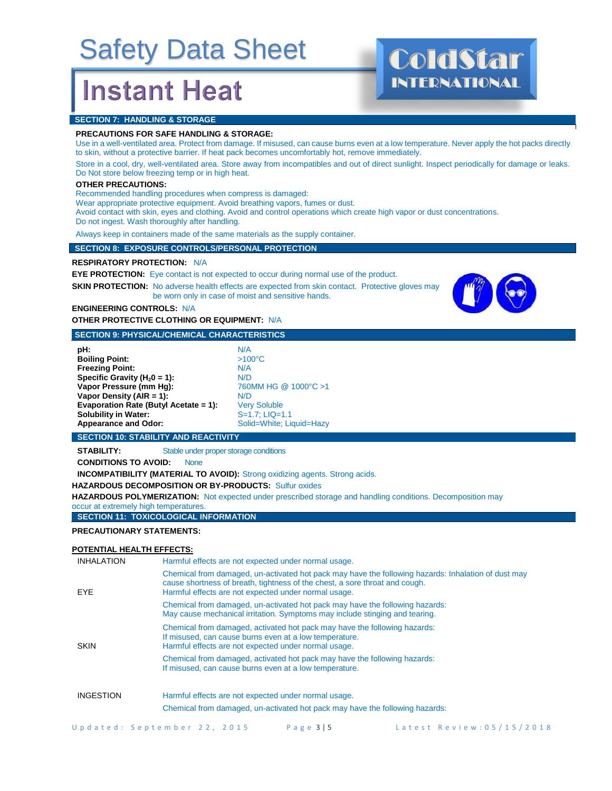## **Instant Heat**



#### **PRECAUTIONS FOR SAFE HANDLING & STORAGE:**

Use in a well-ventilated area. Protect from damage. If misused, can cause burns even at a low temperature. Never apply the hot packs directly to skin, without a protective barrier. If heat pack becomes uncomfortably hot, remove immediately.

Store in a cool, dry, well-ventilated area. Store away from incompatibles and out of direct sunlight. Inspect periodically for damage or leaks. Do Not store below freezing temp or in high heat.

#### **OTHER PRECAUTIONS:**

Recommended handling procedures when compress is damaged:

Wear appropriate protective equipment. Avoid breathing vapors, fumes or dust.

Avoid contact with skin, eyes and clothing. Avoid and control operations which create high vapor or dust concentrations. Do not ingest. Wash thoroughly after handling.

Always keep in containers made of the same materials as the supply container.

#### **SECTION 8: EXPOSURE CONTROLS/PERSONAL PROTECTION**

**RESPIRATORY PROTECTION:** N/A

**EYE PROTECTION:** Eye contact is not expected to occur during normal use of the product.

**SKIN PROTECTION:** No adverse health effects are expected from skin contact. Protective gloves may be worn only in case of moist and sensitive hands.



INTERNATIONAL

### **ENGINEERING CONTROLS:** N/A **OTHER PROTECTIVE CLOTHING OR EQUIPMENT:** N/A

#### **SECTION 9: PHYSICAL/CHEMICAL CHARACTERISTICS**

| pH:                                   | N/A     |
|---------------------------------------|---------|
| <b>Boiling Point:</b>                 | >10     |
| <b>Freezing Point:</b>                | N/A     |
| Specific Gravity ( $H_2$ 0 = 1):      | N/D     |
| Vapor Pressure (mm Hq):               | 760     |
| Vapor Density (AIR = 1):              | N/D     |
| Evaporation Rate (Butyl Acetate = 1): | Ver     |
| <b>Solubility in Water:</b>           | $S = 1$ |
| <b>Appearance and Odor:</b>           | Soli    |

**Boiling Point:** >100°C **760MM HG @ 1000°C >1**<br>N/D **Very Soluble S=1.7: LIQ=1.1 Appearance and Odor:** Solid=White; Liquid=Hazy

#### **SECTION 10: STABILITY AND REACTIVITY**

**STABILITY:** Stable under proper storage conditions

**CONDITIONS TO AVOID:** None

**INCOMPATIBILITY (MATERIAL TO AVOID):** Strong oxidizing agents. Strong acids.

 **HAZARDOUS DECOMPOSITION OR BY-PRODUCTS:** Sulfur oxides

**HAZARDOUS POLYMERIZATION:** Not expected under prescribed storage and handling conditions. Decomposition may occur at extremely high temperatures.

### **SECTION 11: TOXICOLOGICAL INFORMATION**

#### **PRECAUTIONARY STATEMENTS:**

#### **POTENTIAL HEALTH EFFECTS:**

| <b>INHALATION</b> | Harmful effects are not expected under normal usage.                                                                                                                                                                                       |
|-------------------|--------------------------------------------------------------------------------------------------------------------------------------------------------------------------------------------------------------------------------------------|
| EYE               | Chemical from damaged, un-activated hot pack may have the following hazards: Inhalation of dust may<br>cause shortness of breath, tightness of the chest, a sore throat and cough.<br>Harmful effects are not expected under normal usage. |
|                   | Chemical from damaged, un-activated hot pack may have the following hazards:<br>May cause mechanical irritation. Symptoms may include stinging and tearing.                                                                                |
| <b>SKIN</b>       | Chemical from damaged, activated hot pack may have the following hazards:<br>If misused, can cause burns even at a low temperature.<br>Harmful effects are not expected under normal usage.                                                |
|                   | Chemical from damaged, activated hot pack may have the following hazards:<br>If misused, can cause burns even at a low temperature.                                                                                                        |
| <b>INGESTION</b>  | Harmful effects are not expected under normal usage.                                                                                                                                                                                       |
|                   | Chemical from damaged, un-activated hot pack may have the following hazards:                                                                                                                                                               |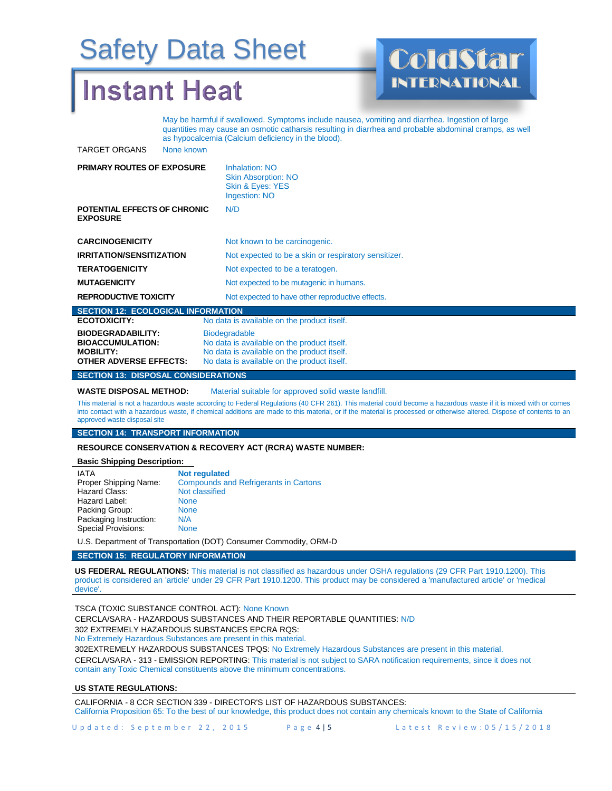### **Instant Heat**



May be harmful if swallowed. Symptoms include nausea, vomiting and diarrhea. Ingestion of large quantities may cause an osmotic catharsis resulting in diarrhea and probable abdominal cramps, as well as hypocalcemia (Calcium deficiency in the blood).

TARGET ORGANS None known

| <b>PRIMARY ROUTES OF EXPOSURE</b>               | <b>Inhalation: NO</b><br><b>Skin Absorption: NO</b><br>Skin & Eyes: YES<br>Ingestion: NO  |
|-------------------------------------------------|-------------------------------------------------------------------------------------------|
| POTENTIAL EFFECTS OF CHRONIC<br><b>EXPOSURE</b> | N/D                                                                                       |
| <b>CARCINOGENICITY</b>                          | Not known to be carcinogenic.                                                             |
| <b>IRRITATION/SENSITIZATION</b>                 | Not expected to be a skin or respiratory sensitizer.                                      |
| <b>TERATOGENICITY</b>                           | Not expected to be a teratogen.                                                           |
| <b>MUTAGENICITY</b>                             | Not expected to be mutagenic in humans.                                                   |
| <b>REPRODUCTIVE TOXICITY</b>                    | Not expected to have other reproductive effects.                                          |
| <b>SECTION 12: ECOLOGICAL INFORMATION</b>       |                                                                                           |
| <b>ECOTOXICITY:</b>                             | No data is available on the product itself.                                               |
| <b>BIODEGRADABILITY:</b>                        | <b>Biodegradable</b>                                                                      |
| <b>BIOACCUMULATION:</b>                         | No data is available on the product itself.                                               |
| <b>MOBILITY:</b><br>OTHER ADVERSE FFFFCTS.      | No data is available on the product itself.<br>No data is available on the product itself |

#### **SECTION 13: DISPOSAL CONSIDERATIONS**

**WASTE DISPOSAL METHOD:** Material suitable for approved solid waste landfill.

This material is not a hazardous waste according to Federal Regulations (40 CFR 261). This material could become a hazardous waste if it is mixed with or comes into contact with a hazardous waste, if chemical additions are made to this material, or if the material is processed or otherwise altered. Dispose of contents to an approved waste disposal site

#### **SECTION 14: TRANSPORT INFORMATION**

**RESOURCE CONSERVATION & RECOVERY ACT (RCRA) WASTE NUMBER:** 

#### **Basic Shipping Description:**

| <b>Not regulated</b>                         |
|----------------------------------------------|
| <b>Compounds and Refrigerants in Cartons</b> |
| Not classified                               |
| <b>None</b>                                  |
| <b>None</b>                                  |
| N/A                                          |
| <b>None</b>                                  |
|                                              |

U.S. Department of Transportation (DOT) Consumer Commodity, ORM-D

#### **SECTION 15: REGULATORY INFORMATION**

**US FEDERAL REGULATIONS:** This material is not classified as hazardous under OSHA regulations (29 CFR Part 1910.1200). This product is considered an 'article' under 29 CFR Part 1910.1200. This product may be considered a 'manufactured article' or 'medical device'.

TSCA (TOXIC SUBSTANCE CONTROL ACT): None Known

CERCLA/SARA - HAZARDOUS SUBSTANCES AND THEIR REPORTABLE QUANTITIES: N/D

302 EXTREMELY HAZARDOUS SUBSTANCES EPCRA RQS:

No Extremely Hazardous Substances are present in this material.

302EXTREMELY HAZARDOUS SUBSTANCES TPQS: No Extremely Hazardous Substances are present in this material. CERCLA/SARA - 313 - EMISSION REPORTING: This material is not subject to SARA notification requirements, since it does not contain any Toxic Chemical constituents above the minimum concentrations.

#### **US STATE REGULATIONS:**

CALIFORNIA - 8 CCR SECTION 339 - DIRECTOR'S LIST OF HAZARDOUS SUBSTANCES: California Proposition 65: To the best of our knowledge, this product does not contain any chemicals known to the State of California